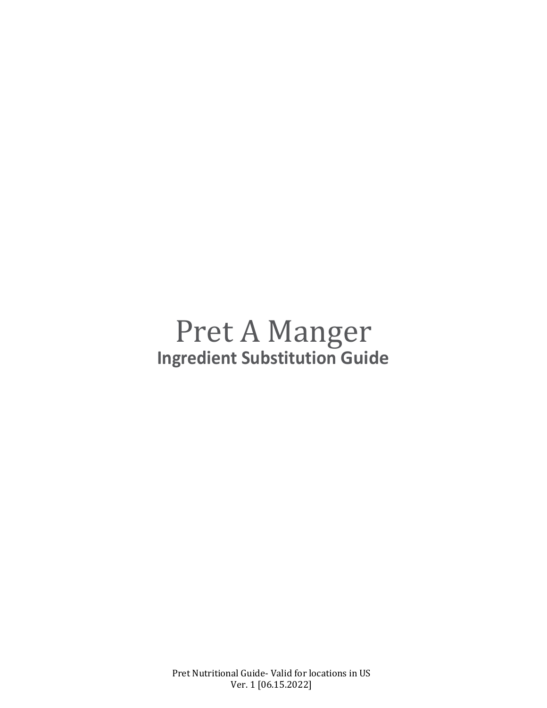# Pret A Manger **Ingredient Substitution Guide**

Pret Nutritional Guide- Valid for locations in US Ver. 1 [06.15.2022]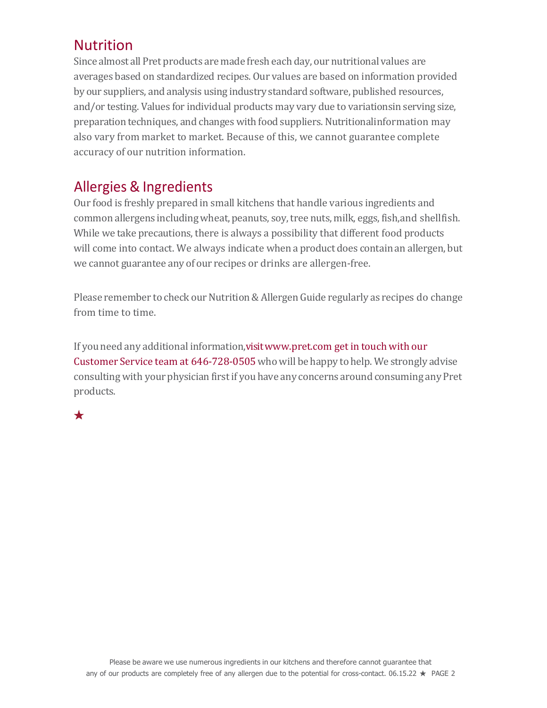# Nutrition

Since almost all Pret products are made fresh each day, our nutritional values are averages based on standardized recipes. Our values are based on information provided by our suppliers, and analysis using industry standard software, published resources, and/or testing. Values for individual products may vary due to variationsin serving size, preparation techniques, and changes with food suppliers. Nutritionalinformation may also vary from market to market. Because of this, we cannot guarantee complete accuracy of our nutrition information.

# Allergies & Ingredients

Our food is freshly prepared in small kitchens that handle various ingredients and common allergens includingwheat, peanuts, soy,tree nuts, milk, eggs, fish,and shellfish. While we take precautions, there is always a possibility that different food products will come into contact. We always indicate when a product does contain an allergen, but we cannot guarantee any of our recipes or drinks are allergen-free.

Please remember to check our Nutrition & Allergen Guide regularly as recipes do change from time to time.

If you need any additional information,visi[twww.pret.com g](http://www.pret.com/)et in touch with our Customer Service team at 646-728-0505 who will be happy to help. We strongly advise consulting with your physician first if you have any concerns around consuming any Pret products.

 $\bigstar$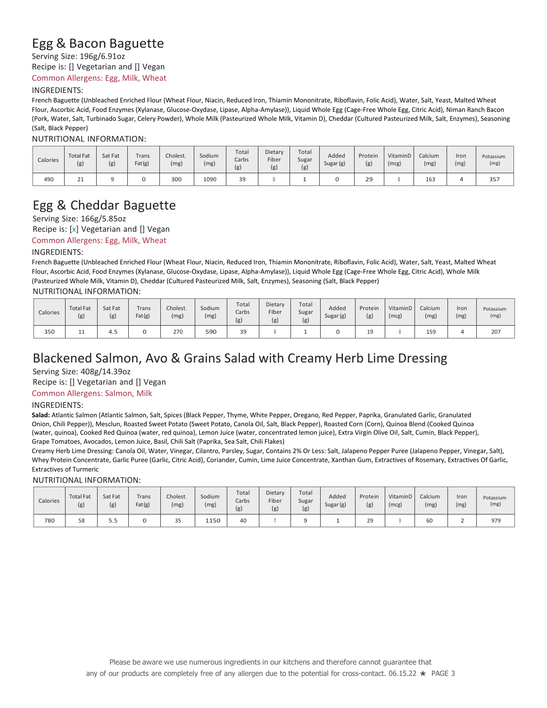### Egg & Bacon Baguette

Serving Size: 196g/6.91oz

Recipe is: [] Vegetarian and [] Vegan

Common Allergens: Egg, Milk, Wheat

#### INGREDIENTS:

French Baguette (Unbleached Enriched Flour (Wheat Flour, Niacin, Reduced Iron, Thiamin Mononitrate, Riboflavin, Folic Acid), Water, Salt, Yeast, Malted Wheat Flour, Ascorbic Acid, Food Enzymes (Xylanase, Glucose-Oxydase, Lipase, Alpha-Amylase)), Liquid Whole Egg (Cage-Free Whole Egg, Citric Acid), Niman Ranch Bacon (Pork, Water, Salt, Turbinado Sugar, Celery Powder), Whole Milk (Pasteurized Whole Milk, Vitamin D), Cheddar (Cultured Pasteurized Milk, Salt, Enzymes), Seasoning (Salt, Black Pepper)

NUTRITIONAL INFORMATION:

| Calories | <b>Total Fat</b><br>(g) | Sat Fat<br>(g) | Trans<br>Fat(g) | Cholest.<br>(mg) | Sodium<br>(mg) | Total<br>Carbs<br>(g) | Dietary<br>Fiber<br>(g) | Total<br>Sugar<br>(g) | Added<br>Sugar (g) | Protein<br>(g) | VitaminD<br>(mcg) | Calcium<br>(mg) | Iron<br>(mg) | Potassium<br>(mg) |
|----------|-------------------------|----------------|-----------------|------------------|----------------|-----------------------|-------------------------|-----------------------|--------------------|----------------|-------------------|-----------------|--------------|-------------------|
| 490      | ᅩ                       |                |                 | 300              | 1090           | 39                    |                         |                       |                    | 29             |                   | 163             |              | 357               |

## Egg & Cheddar Baguette

#### Serving Size: 166g/5.85oz

Recipe is: [x] Vegetarian and [] Vegan

Common Allergens: Egg, Milk, Wheat

#### INGREDIENTS:

French Baguette (Unbleached Enriched Flour (Wheat Flour, Niacin, Reduced Iron, Thiamin Mononitrate, Riboflavin, Folic Acid), Water, Salt, Yeast, Malted Wheat Flour, Ascorbic Acid, Food Enzymes (Xylanase, Glucose-Oxydase, Lipase, Alpha-Amylase)), Liquid Whole Egg (Cage-Free Whole Egg, Citric Acid), Whole Milk (Pasteurized Whole Milk, Vitamin D), Cheddar (Cultured Pasteurized Milk, Salt, Enzymes), Seasoning (Salt, Black Pepper)

NUTRITIONAL INFORMATION:

| Calories | <b>Total Fat</b><br>(g) | Sat Fat<br>(g) | Trans<br>Fat(g) | Cholest.<br>(mg) | Sodium<br>(mg) | Total<br>Carbs<br>(g) | Dietary<br>Fiber<br>(g) | Total<br>Sugar<br>(g) | Added<br>Sugar (g) | Protein<br>(g) | VitaminD<br>(mcg) | Calcium<br>(mg) | Iron<br>(mg) | Potassium<br>(mg) |
|----------|-------------------------|----------------|-----------------|------------------|----------------|-----------------------|-------------------------|-----------------------|--------------------|----------------|-------------------|-----------------|--------------|-------------------|
| 350      | <b>++</b>               | 4.5            |                 | 270              | 590            | 39                    |                         |                       |                    | 19<br>--       |                   | 15 <sup>c</sup> |              | 207               |

# Blackened Salmon, Avo & Grains Salad with Creamy Herb Lime Dressing

Serving Size: 408g/14.39oz

Recipe is: [] Vegetarian and [] Vegan

Common Allergens: Salmon, Milk

#### INGREDIENTS:

**Salad:** Atlantic Salmon (Atlantic Salmon, Salt, Spices (Black Pepper, Thyme, White Pepper, Oregano, Red Pepper, Paprika, Granulated Garlic, Granulated Onion, Chili Pepper)), Mesclun, Roasted Sweet Potato (Sweet Potato, Canola Oil, Salt, Black Pepper), Roasted Corn (Corn), Quinoa Blend (Cooked Quinoa (water, quinoa), Cooked Red Quinoa (water, red quinoa), Lemon Juice (water, concentrated lemon juice), Extra Virgin Olive Oil, Salt, Cumin, Black Pepper), Grape Tomatoes, Avocados, Lemon Juice, Basil, Chili Salt (Paprika, Sea Salt, Chili Flakes)

Creamy Herb Lime Dressing: Canola Oil, Water, Vinegar, Cilantro, Parsley, Sugar, Contains 2% Or Less: Salt, Jalapeno Pepper Puree (Jalapeno Pepper, Vinegar, Salt), Whey Protein Concentrate, Garlic Puree (Garlic, Citric Acid), Coriander, Cumin, Lime Juice Concentrate, Xanthan Gum, Extractives of Rosemary, Extractives Of Garlic, Extractives of Turmeric

#### NUTRITIONAL INFORMATION:

| Calories | <b>Total Fat</b><br>(g) | Sat Fat<br>(g) | <b>Trans</b><br>Fat(g) | Cholest.<br>(mg) | Sodium<br>(mg) | Total<br>Carbs<br>(g) | Dietary<br>Fiber<br>(g) | Total<br>Sugar<br>(g) | Added<br>Sugar (g) | Protein<br>(g) | VitaminD<br>(mcg | Calcium<br>(mg) | Iror<br>(mg) | Potassium<br>(mg) |
|----------|-------------------------|----------------|------------------------|------------------|----------------|-----------------------|-------------------------|-----------------------|--------------------|----------------|------------------|-----------------|--------------|-------------------|
| 780      | 58                      | - -<br>ر.ر     |                        | $\sim$ $-$<br>35 | 1150           | 40                    |                         |                       |                    | 29             |                  | 60              |              | 979               |